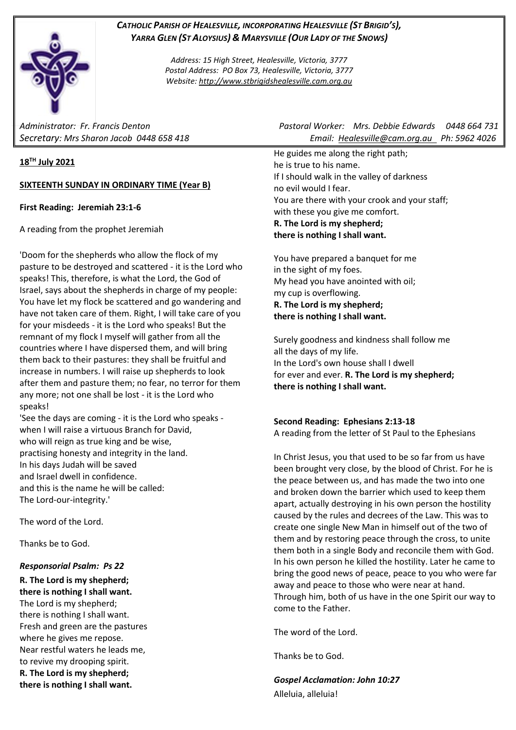# *CATHOLIC PARISH OF HEALESVILLE, INCORPORATING HEALESVILLE (ST BRIGID'S), YARRA GLEN (ST ALOYSIUS) & MARYSVILLE (OUR LADY OF THE SNOWS)*

*Address: 15 High Street, Healesville, Victoria, 3777 Postal Address: PO Box 73, Healesville, Victoria, 3777 Website: [http://www.stbrigidshealesville.cam.org.au](http://www.stbrigidshealesville.cam.org.au/)*

# **18 TH July 2021**

**SIXTEENTH SUNDAY IN ORDINARY TIME (Year B)**

**First Reading: Jeremiah 23:1-6**

A reading from the prophet Jeremiah

'Doom for the shepherds who allow the flock of my pasture to be destroyed and scattered - it is the Lord who speaks! This, therefore, is what the Lord, the God of Israel, says about the shepherds in charge of my people: You have let my flock be scattered and go wandering and have not taken care of them. Right, I will take care of you for your misdeeds - it is the Lord who speaks! But the remnant of my flock I myself will gather from all the countries where I have dispersed them, and will bring them back to their pastures: they shall be fruitful and increase in numbers. I will raise up shepherds to look after them and pasture them; no fear, no terror for them any more; not one shall be lost - it is the Lord who speaks!

'See the days are coming - it is the Lord who speaks when I will raise a virtuous Branch for David, who will reign as true king and be wise, practising honesty and integrity in the land. In his days Judah will be saved and Israel dwell in confidence. and this is the name he will be called: The Lord-our-integrity.'

The word of the Lord.

Thanks be to God.

# *Responsorial Psalm: Ps 22*

**R. The Lord is my shepherd; there is nothing I shall want.** The Lord is my shepherd; there is nothing I shall want. Fresh and green are the pastures where he gives me repose. Near restful waters he leads me, to revive my drooping spirit. **R. The Lord is my shepherd; there is nothing I shall want.**

*Administrator: Fr. Francis Denton Pastoral Worker: Mrs. Debbie Edwards 0448 664 731 Secretary: Mrs Sharon Jacob 0448 658 418 Email: [Healesville@cam.org.au](mailto:Healesville@cam.org.au) Ph: 5962 4026* 

> He guides me along the right path; he is true to his name. If I should walk in the valley of darkness no evil would I fear. You are there with your crook and your staff; with these you give me comfort. **R. The Lord is my shepherd; there is nothing I shall want.**

You have prepared a banquet for me in the sight of my foes. My head you have anointed with oil; my cup is overflowing. **R. The Lord is my shepherd; there is nothing I shall want.**

Surely goodness and kindness shall follow me all the days of my life. In the Lord's own house shall I dwell for ever and ever. **R. The Lord is my shepherd; there is nothing I shall want.**

**Second Reading: Ephesians 2:13-18** A reading from the letter of St Paul to the Ephesians

In Christ Jesus, you that used to be so far from us have been brought very close, by the blood of Christ. For he is the peace between us, and has made the two into one and broken down the barrier which used to keep them apart, actually destroying in his own person the hostility caused by the rules and decrees of the Law. This was to create one single New Man in himself out of the two of them and by restoring peace through the cross, to unite them both in a single Body and reconcile them with God. In his own person he killed the hostility. Later he came to bring the good news of peace, peace to you who were far away and peace to those who were near at hand. Through him, both of us have in the one Spirit our way to come to the Father.

The word of the Lord.

Thanks be to God.

*Gospel Acclamation: John 10:27* Alleluia, alleluia!

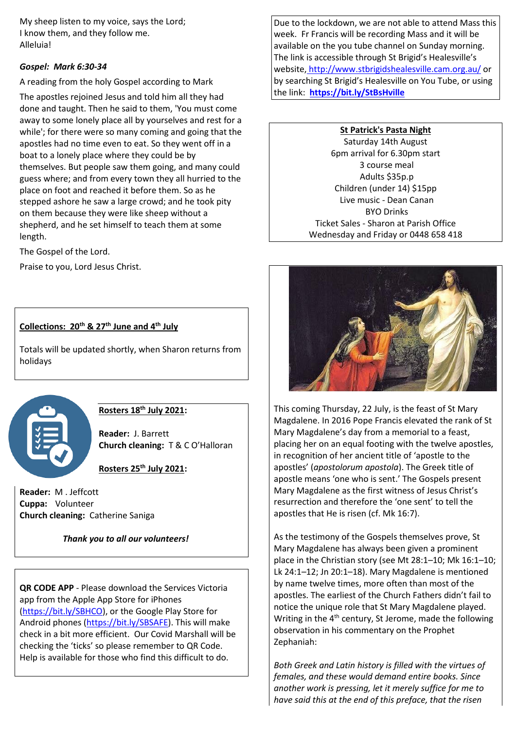My sheep listen to my voice, says the Lord; I know them, and they follow me. Alleluia!

## *Gospel: Mark 6:30-34*

A reading from the holy Gospel according to Mark

The apostles rejoined Jesus and told him all they had done and taught. Then he said to them, 'You must come away to some lonely place all by yourselves and rest for a while'; for there were so many coming and going that the apostles had no time even to eat. So they went off in a boat to a lonely place where they could be by themselves. But people saw them going, and many could guess where; and from every town they all hurried to the place on foot and reached it before them. So as he stepped ashore he saw a large crowd; and he took pity on them because they were like sheep without a shepherd, and he set himself to teach them at some length.

The Gospel of the Lord.

Praise to you, Lord Jesus Christ.

# **Collections: 20th & 27th June and 4th July**

Totals will be updated shortly, when Sharon returns from holidays



# **Rosters 18 th July 2021:**

**Reader:** J. Barrett **Church cleaning:** T & C O'Halloran

**Rosters 25th July 2021:** 

**Reader:** M . Jeffcott **Cuppa:** Volunteer **Church cleaning:** Catherine Saniga

 *Thank you to all our volunteers!*

**QR CODE APP** - Please download the Services Victoria app from the Apple App Store for iPhones [\(https://bit.ly/SBHCO\)](https://bit.ly/SBHCO), or the Google Play Store for Android phones [\(https://bit.ly/SBSAFE\)](https://bit.ly/SBSAFE). This will make check in a bit more efficient. Our Covid Marshall will be checking the 'ticks' so please remember to QR Code. Help is available for those who find this difficult to do.

Due to the lockdown, we are not able to attend Mass this week. Fr Francis will be recording Mass and it will be available on the you tube channel on Sunday morning. The link is accessible through St Brigid's Healesville's website, <http://www.stbrigidshealesville.cam.org.au/> or by searching St Brigid's Healesville on You Tube, or using the link: **<https://bit.ly/StBsHville>**

## **St Patrick's Pasta Night**

Saturday 14th August 6pm arrival for 6.30pm start 3 course meal Adults \$35p.p Children (under 14) \$15pp Live music - Dean Canan BYO Drinks Ticket Sales - Sharon at Parish Office Wednesday and Friday or 0448 658 418



This coming Thursday, 22 July, is the feast of St Mary Magdalene. In 2016 Pope Francis elevated the rank of St Mary Magdalene's day from a memorial to a feast, placing her on an equal footing with the twelve apostles, in recognition of her ancient title of 'apostle to the apostles' (*apostolorum apostola*). The Greek title of apostle means 'one who is sent.' The Gospels present Mary Magdalene as the first witness of Jesus Christ's resurrection and therefore the 'one sent' to tell the apostles that He is risen (cf. Mk 16:7).

As the testimony of the Gospels themselves prove, St Mary Magdalene has always been given a prominent place in the Christian story (see Mt 28:1–10; Mk 16:1–10; Lk 24:1–12; Jn 20:1–18). Mary Magdalene is mentioned by name twelve times, more often than most of the apostles. The earliest of the Church Fathers didn't fail to notice the unique role that St Mary Magdalene played. Writing in the  $4<sup>th</sup>$  century, St Jerome, made the following observation in his commentary on the Prophet Zephaniah:

*Both Greek and Latin history is filled with the virtues of females, and these would demand entire books. Since another work is pressing, let it merely suffice for me to have said this at the end of this preface, that the risen*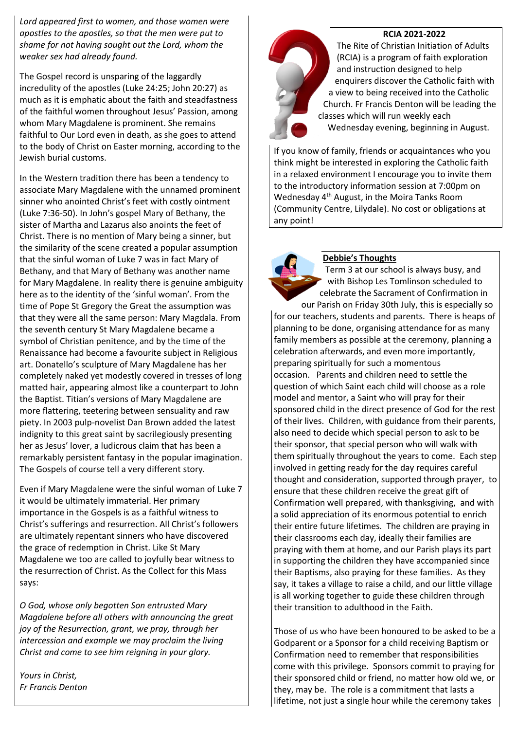*Lord appeared first to women, and those women were apostles to the apostles, so that the men were put to shame for not having sought out the Lord, whom the weaker sex had already found.*

The Gospel record is unsparing of the laggardly incredulity of the apostles (Luke 24:25; John 20:27) as much as it is emphatic about the faith and steadfastness of the faithful women throughout Jesus' Passion, among whom Mary Magdalene is prominent. She remains faithful to Our Lord even in death, as she goes to attend to the body of Christ on Easter morning, according to the Jewish burial customs.

In the Western tradition there has been a tendency to associate Mary Magdalene with the unnamed prominent sinner who anointed Christ's feet with costly ointment (Luke 7:36-50). In John's gospel Mary of Bethany, the sister of Martha and Lazarus also anoints the feet of Christ. There is no mention of Mary being a sinner, but the similarity of the scene created a popular assumption that the sinful woman of Luke 7 was in fact Mary of Bethany, and that Mary of Bethany was another name for Mary Magdalene. In reality there is genuine ambiguity here as to the identity of the 'sinful woman'. From the time of Pope St Gregory the Great the assumption was that they were all the same person: Mary Magdala. From the seventh century St Mary Magdalene became a symbol of Christian penitence, and by the time of the Renaissance had become a favourite subject in Religious art. Donatello's sculpture of Mary Magdalene has her completely naked yet modestly covered in tresses of long matted hair, appearing almost like a counterpart to John the Baptist. Titian's versions of Mary Magdalene are more flattering, teetering between sensuality and raw piety. In 2003 pulp-novelist Dan Brown added the latest indignity to this great saint by sacrilegiously presenting her as Jesus' lover, a ludicrous claim that has been a remarkably persistent fantasy in the popular imagination. The Gospels of course tell a very different story.

Even if Mary Magdalene were the sinful woman of Luke 7 it would be ultimately immaterial. Her primary importance in the Gospels is as a faithful witness to Christ's sufferings and resurrection. All Christ's followers are ultimately repentant sinners who have discovered the grace of redemption in Christ. Like St Mary Magdalene we too are called to joyfully bear witness to the resurrection of Christ. As the Collect for this Mass says:

*O God, whose only begotten Son entrusted Mary Magdalene before all others with announcing the great joy of the Resurrection, grant, we pray, through her intercession and example we may proclaim the living Christ and come to see him reigning in your glory.* 

*Yours in Christ, Fr Francis Denton* 



**RCIA 2021-2022**

The Rite of Christian Initiation of Adults (RCIA) is a program of faith exploration and instruction designed to help enquirers discover the Catholic faith with a view to being received into the Catholic Church. Fr Francis Denton will be leading the classes which will run weekly each Wednesday evening, beginning in August.

If you know of family, friends or acquaintances who you think might be interested in exploring the Catholic faith in a relaxed environment I encourage you to invite them to the introductory information session at 7:00pm on Wednesday 4<sup>th</sup> August, in the Moira Tanks Room (Community Centre, Lilydale). No cost or obligations at any point!



# **Debbie's Thoughts**

Term 3 at our school is always busy, and with Bishop Les Tomlinson scheduled to celebrate the Sacrament of Confirmation in our Parish on Friday 30th July, this is especially so for our teachers, students and parents. There is heaps of

planning to be done, organising attendance for as many family members as possible at the ceremony, planning a celebration afterwards, and even more importantly, preparing spiritually for such a momentous occasion. Parents and children need to settle the question of which Saint each child will choose as a role model and mentor, a Saint who will pray for their sponsored child in the direct presence of God for the rest of their lives. Children, with guidance from their parents, also need to decide which special person to ask to be their sponsor, that special person who will walk with them spiritually throughout the years to come. Each step involved in getting ready for the day requires careful thought and consideration, supported through prayer, to ensure that these children receive the great gift of Confirmation well prepared, with thanksgiving, and with a solid appreciation of its enormous potential to enrich their entire future lifetimes. The children are praying in their classrooms each day, ideally their families are praying with them at home, and our Parish plays its part in supporting the children they have accompanied since their Baptisms, also praying for these families. As they say, it takes a village to raise a child, and our little village is all working together to guide these children through their transition to adulthood in the Faith.

Those of us who have been honoured to be asked to be a Godparent or a Sponsor for a child receiving Baptism or Confirmation need to remember that responsibilities come with this privilege. Sponsors commit to praying for their sponsored child or friend, no matter how old we, or they, may be. The role is a commitment that lasts a lifetime, not just a single hour while the ceremony takes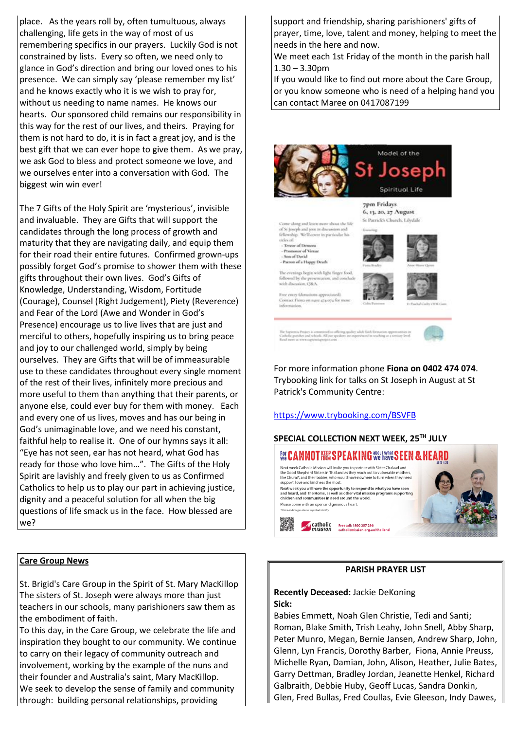place. As the years roll by, often tumultuous, always challenging, life gets in the way of most of us remembering specifics in our prayers. Luckily God is not constrained by lists. Every so often, we need only to glance in God's direction and bring our loved ones to his presence. We can simply say 'please remember my list' and he knows exactly who it is we wish to pray for, without us needing to name names. He knows our hearts. Our sponsored child remains our responsibility in this way for the rest of our lives, and theirs. Praying for them is not hard to do, it is in fact a great joy, and is the best gift that we can ever hope to give them. As we pray, we ask God to bless and protect someone we love, and we ourselves enter into a conversation with God. The biggest win win ever!

The 7 Gifts of the Holy Spirit are 'mysterious', invisible and invaluable. They are Gifts that will support the candidates through the long process of growth and maturity that they are navigating daily, and equip them for their road their entire futures. Confirmed grown-ups possibly forget God's promise to shower them with these gifts throughout their own lives. God's Gifts of Knowledge, Understanding, Wisdom, Fortitude (Courage), Counsel (Right Judgement), Piety (Reverence) and Fear of the Lord (Awe and Wonder in God's Presence) encourage us to live lives that are just and merciful to others, hopefully inspiring us to bring peace and joy to our challenged world, simply by being ourselves. They are Gifts that will be of immeasurable use to these candidates throughout every single moment of the rest of their lives, infinitely more precious and more useful to them than anything that their parents, or anyone else, could ever buy for them with money. Each and every one of us lives, moves and has our being in God's unimaginable love, and we need his constant, faithful help to realise it. One of our hymns says it all: "Eye has not seen, ear has not heard, what God has ready for those who love him…". The Gifts of the Holy Spirit are lavishly and freely given to us as Confirmed Catholics to help us to play our part in achieving justice, dignity and a peaceful solution for all when the big questions of life smack us in the face. How blessed are we?

### **Care Group News**

St. Brigid's Care Group in the Spirit of St. Mary MacKillop The sisters of St. Joseph were always more than just teachers in our schools, many parishioners saw them as the embodiment of faith.

To this day, in the Care Group, we celebrate the life and inspiration they bought to our community. We continue to carry on their legacy of community outreach and involvement, working by the example of the nuns and their founder and Australia's saint, Mary MacKillop. We seek to develop the sense of family and community through: building personal relationships, providing

support and friendship, sharing parishioners' gifts of prayer, time, love, talent and money, helping to meet the needs in the here and now.

We meet each 1st Friday of the month in the parish hall  $1.30 - 3.30$ pm

If you would like to find out more about the Care Group, or you know someone who is need of a helping hand you can contact Maree on 0417087199



For more information phone **Fiona on 0402 474 074**. Trybooking link for talks on St Joseph in August at St Patrick's Community Centre:

### <https://www.trybooking.com/BSVFB>

### **SPECIAL COLLECTION NEXT WEEK, 25 TH JULY**



#### **PARISH PRAYER LIST**

### **Recently Deceased:** Jackie DeKoning **Sick:**

Babies Emmett, Noah Glen Christie, Tedi and Santi; Roman, Blake Smith, Trish Leahy, John Snell, Abby Sharp, Peter Munro, Megan, Bernie Jansen, Andrew Sharp, John, Glenn, Lyn Francis, Dorothy Barber, Fiona, Annie Preuss, Michelle Ryan, Damian, John, Alison, Heather, Julie Bates, Garry Dettman, Bradley Jordan, Jeanette Henkel, Richard Galbraith, Debbie Huby, Geoff Lucas, Sandra Donkin, Glen, Fred Bullas, Fred Coullas, Evie Gleeson, Indy Dawes,